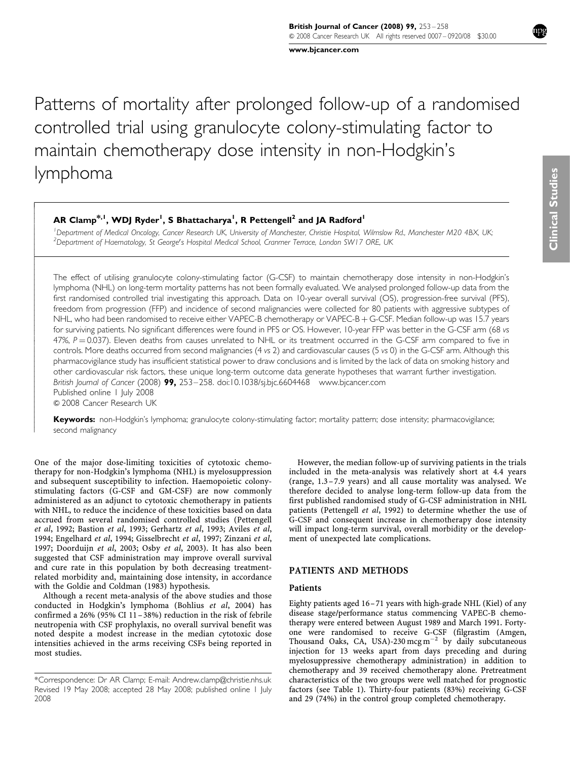[www.bjcancer.com](http://www.bjcancer.com)

Patterns of mortality after prolonged follow-up of a randomised controlled trial using granulocyte colony-stimulating factor to maintain chemotherapy dose intensity in non-Hodgkin's lymphoma

# AR Clamp<sup>\*, 1</sup>, WDJ Ryder<sup>1</sup>, S Bhattacharya<sup>1</sup>, R Pettengell<sup>2</sup> and JA Radford<sup>1</sup>

ſ  $\overline{\phantom{a}}$  $\overline{\phantom{a}}$  $\bigg\}$  $\bigg\}$  $\bigg\}$  $\overline{\phantom{a}}$  $\overline{\phantom{a}}$  $\overline{\phantom{a}}$  $\bigg\}$ ļ ľ  $\overline{\phantom{a}}$  $\overline{\phantom{a}}$  $\bigg\}$  $\bigg\}$  $\overline{\phantom{a}}$  $\overline{\phantom{a}}$  $\overline{\phantom{a}}$  $\bigg\}$  $\bigg\}$  $\bigg\}$  $\overline{\phantom{a}}$  $\overline{\phantom{a}}$  $\overline{\phantom{a}}$  $\bigg\}$  $\bigg\}$  $\bigg\}$  $\overline{\phantom{a}}$  $\overline{\phantom{a}}$  $\overline{\phantom{a}}$  $\bigg\}$  $\bigg\}$  $\overline{\phantom{a}}$  $\overline{\phantom{a}}$  $\overline{\phantom{a}}$  $\bigg\}$  $\bigg\}$  $\overline{\phantom{a}}$  $\overline{\phantom{a}}$  $\overline{\phantom{a}}$  $\bigg\}$  $\bigg\}$  $\bigg\}$  $\overline{\phantom{a}}$ 

<sup>1</sup>Department of Medical Oncology, Cancer Research UK, University of Manchester, Christie Hospital, Wilmslow Rd., Manchester M20 4BX, UK;  $^2$ Department of Haematology, St George's Hospital Medical School, Cranmer Terrace, London SW17 ORE, UK

The effect of utilising granulocyte colony-stimulating factor (G-CSF) to maintain chemotherapy dose intensity in non-Hodgkin's lymphoma (NHL) on long-term mortality patterns has not been formally evaluated. We analysed prolonged follow-up data from the first randomised controlled trial investigating this approach. Data on 10-year overall survival (OS), progression-free survival (PFS), freedom from progression (FFP) and incidence of second malignancies were collected for 80 patients with aggressive subtypes of NHL, who had been randomised to receive either VAPEC-B chemotherapy or VAPEC-B  $+$  G-CSF. Median follow-up was 15.7 years for surviving patients. No significant differences were found in PFS or OS. However, 10-year FFP was better in the G-CSF arm (68 vs  $47\%$ ,  $P = 0.037$ ). Eleven deaths from causes unrelated to NHL or its treatment occurred in the G-CSF arm compared to five in controls. More deaths occurred from second malignancies (4 vs 2) and cardiovascular causes (5 vs 0) in the G-CSF arm. Although this pharmacovigilance study has insufficient statistical power to draw conclusions and is limited by the lack of data on smoking history and other cardiovascular risk factors, these unique long-term outcome data generate hypotheses that warrant further investigation. British Journal of Cancer (2008)  $99, 253-258.$  doi[:10.1038/sj.bjc.6604468](http://dx.doi.org/10.1038/sj.bjc.6604468) [www.bjcancer.com](http://www.bjcancer.com) Published online 1 July 2008 & 2008 Cancer Research UK

Keywords: non-Hodgkin's lymphoma; granulocyte colony-stimulating factor; mortality pattern; dose intensity; pharmacovigilance; second malignancy

One of the major dose-limiting toxicities of cytotoxic chemotherapy for non-Hodgkin's lymphoma (NHL) is myelosuppression and subsequent susceptibility to infection. Haemopoietic colonystimulating factors (G-CSF and GM-CSF) are now commonly administered as an adjunct to cytotoxic chemotherapy in patients with NHL, to reduce the incidence of these toxicities based on data accrued from several randomised controlled studies ([Pettengell](#page-5-0) et al[, 1992;](#page-5-0) [Bastion](#page-4-0) et al, 1993; [Gerhartz](#page-4-0) et al, 1993; [Aviles](#page-4-0) et al, [1994](#page-4-0); [Engelhard](#page-4-0) et al, 1994; [Gisselbrecht](#page-5-0) et al, 1997; [Zinzani](#page-5-0) et al, [1997](#page-5-0); [Doorduijn](#page-4-0) et al, 2003; Osby et al[, 2003](#page-5-0)). It has also been suggested that CSF administration may improve overall survival and cure rate in this population by both decreasing treatmentrelated morbidity and, maintaining dose intensity, in accordance with the [Goldie and Coldman \(1983\)](#page-5-0) hypothesis.

Although a recent meta-analysis of the above studies and those conducted in Hodgkin's lymphoma [\(Bohlius](#page-4-0) et al, 2004) has confirmed a 26% (95% CI 11–38%) reduction in the risk of febrile neutropenia with CSF prophylaxis, no overall survival benefit was noted despite a modest increase in the median cytotoxic dose intensities achieved in the arms receiving CSFs being reported in most studies.

However, the median follow-up of surviving patients in the trials included in the meta-analysis was relatively short at 4.4 years (range, 1.3-7.9 years) and all cause mortality was analysed. We therefore decided to analyse long-term follow-up data from the first published randomised study of G-CSF administration in NHL patients [\(Pettengell](#page-5-0) et al, 1992) to determine whether the use of G-CSF and consequent increase in chemotherapy dose intensity will impact long-term survival, overall morbidity or the development of unexpected late complications.

# PATIENTS AND METHODS

#### Patients

Eighty patients aged 16–71 years with high-grade NHL (Kiel) of any disease stage/performance status commencing VAPEC-B chemotherapy were entered between August 1989 and March 1991. Fortyone were randomised to receive G-CSF (filgrastim (Amgen, Thousand Oaks, CA, USA)-230 mcg m<sup>-2</sup> by daily subcutaneous injection for 13 weeks apart from days preceding and during myelosuppressive chemotherapy administration) in addition to chemotherapy and 39 received chemotherapy alone. Pretreatment characteristics of the two groups were well matched for prognostic factors (see [Table 1\)](#page-1-0). Thirty-four patients (83%) receiving G-CSF and 29 (74%) in the control group completed chemotherapy.

Revised 19 May 2008; accepted 28 May 2008; published online 1 July 2008 \*Correspondence: Dr AR Clamp; E-mail: [Andrew.clamp@christie.nhs.uk](mailto:Andrew.clamp@christie.nhs.uk)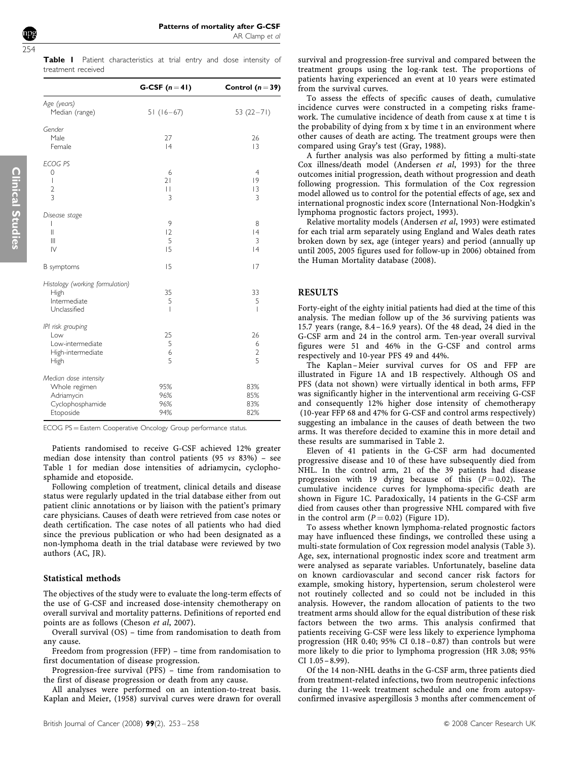and dose intensity of

<span id="page-1-0"></span>

|  |                    | <b>Table I</b> Patient characteristics at trial entry |  |  |
|--|--------------------|-------------------------------------------------------|--|--|
|  | treatment received |                                                       |  |  |

|                                                                                       | G-CSF $(n=41)$               | Control $(n=39)$                |
|---------------------------------------------------------------------------------------|------------------------------|---------------------------------|
| Age (years)<br>Median (range)                                                         | $51(16-67)$                  | 53 $(22-71)$                    |
| Gender<br>Male<br>Female                                                              | 27<br> 4                     | 26<br>$\overline{13}$           |
| <b>ECOG PS</b><br>$\mathbf 0$<br>$\overline{1}$<br>$\overline{2}$<br>$\overline{3}$   | 6<br>21<br>$\mathbf{L}$<br>3 | $\overline{4}$<br> 9<br> 3<br>3 |
| Disease stage<br>I<br>$\mathbf{  }$<br>$\mathbf{III}$<br>$\mathsf{I}\mathsf{V}$       | 9<br> 2<br>5<br>15           | 8<br> 4<br>3<br> 4              |
| B symptoms                                                                            | 15                           | 17                              |
| Histology (working formulation)<br>High<br>Intermediate<br>Unclassified               | 35<br>5<br>T                 | 33<br>5<br>I                    |
| IPI risk grouping<br>Low<br>Low-intermediate<br>High-intermediate<br>High             | 25<br>5<br>6<br>5            | 26<br>6<br>$\overline{2}$<br>5  |
| Median dose intensity<br>Whole regimen<br>Adriamycin<br>Cyclophosphamide<br>Etoposide | 95%<br>96%<br>96%<br>94%     | 83%<br>85%<br>83%<br>82%        |

ECOG PS = Eastern Cooperative Oncology Group performance status.

Patients randomised to receive G-CSF achieved 12% greater median dose intensity than control patients  $(95 \text{ vs } 83\%)$  - see Table 1 for median dose intensities of adriamycin, cyclophosphamide and etoposide.

Following completion of treatment, clinical details and disease status were regularly updated in the trial database either from out patient clinic annotations or by liaison with the patient's primary care physicians. Causes of death were retrieved from case notes or death certification. The case notes of all patients who had died since the previous publication or who had been designated as a non-lymphoma death in the trial database were reviewed by two authors (AC, JR).

## Statistical methods

The objectives of the study were to evaluate the long-term effects of the use of G-CSF and increased dose-intensity chemotherapy on overall survival and mortality patterns. Definitions of reported end points are as follows [\(Cheson](#page-4-0) et al, 2007).

Overall survival (OS) – time from randomisation to death from any cause.

Freedom from progression (FFP) – time from randomisation to first documentation of disease progression.

Progression-free survival (PFS) – time from randomisation to the first of disease progression or death from any cause.

All analyses were performed on an intention-to-treat basis. [Kaplan and Meier, \(1958\)](#page-5-0) survival curves were drawn for overall survival and progression-free survival and compared between the treatment groups using the log-rank test. The proportions of patients having experienced an event at 10 years were estimated from the survival curves.

To assess the effects of specific causes of death, cumulative incidence curves were constructed in a competing risks framework. The cumulative incidence of death from cause x at time t is the probability of dying from x by time t in an environment where other causes of death are acting. The treatment groups were then compared using Gray's test [\(Gray, 1988\)](#page-5-0).

A further analysis was also performed by fitting a multi-state Cox illness/death model ([Andersen](#page-4-0) et al, 1993) for the three outcomes initial progression, death without progression and death following progression. This formulation of the Cox regression model allowed us to control for the potential effects of age, sex and international prognostic index score [\(International Non-Hodgkin's](#page-5-0) [lymphoma prognostic factors project, 1993](#page-5-0)).

Relative mortality models ([Andersen](#page-4-0) et al, 1993) were estimated for each trial arm separately using England and Wales death rates broken down by sex, age (integer years) and period (annually up until 2005, 2005 figures used for follow-up in 2006) obtained from the [Human Mortality database \(2008](#page-5-0)).

#### RESULTS

Forty-eight of the eighty initial patients had died at the time of this analysis. The median follow up of the 36 surviving patients was 15.7 years (range, 8.4–16.9 years). Of the 48 dead, 24 died in the G-CSF arm and 24 in the control arm. Ten-year overall survival figures were 51 and 46% in the G-CSF and control arms respectively and 10-year PFS 49 and 44%.

The Kaplan– Meier survival curves for OS and FFP are illustrated in [Figure 1A and 1B](#page-2-0) respectively. Although OS and PFS (data not shown) were virtually identical in both arms, FFP was significantly higher in the interventional arm receiving G-CSF and consequently 12% higher dose intensity of chemotherapy (10-year FFP 68 and 47% for G-CSF and control arms respectively) suggesting an imbalance in the causes of death between the two arms. It was therefore decided to examine this in more detail and these results are summarised in [Table 2](#page-2-0).

Eleven of 41 patients in the G-CSF arm had documented progressive disease and 10 of these have subsequently died from NHL. In the control arm, 21 of the 39 patients had disease progression with 19 dying because of this  $(P = 0.02)$ . The cumulative incidence curves for lymphoma-specific death are shown in [Figure 1C](#page-2-0). Paradoxically, 14 patients in the G-CSF arm died from causes other than progressive NHL compared with five in the control arm  $(P = 0.02)$  ([Figure 1D](#page-2-0)).

To assess whether known lymphoma-related prognostic factors may have influenced these findings, we controlled these using a multi-state formulation of Cox regression model analysis [\(Table 3\)](#page-2-0). Age, sex, international prognostic index score and treatment arm were analysed as separate variables. Unfortunately, baseline data on known cardiovascular and second cancer risk factors for example, smoking history, hypertension, serum cholesterol were not routinely collected and so could not be included in this analysis. However, the random allocation of patients to the two treatment arms should allow for the equal distribution of these risk factors between the two arms. This analysis confirmed that patients receiving G-CSF were less likely to experience lymphoma progression (HR 0.40; 95% CI 0.18– 0.87) than controls but were more likely to die prior to lymphoma progression (HR 3.08; 95%  $CI$  1.05 – 8.99).

Of the 14 non-NHL deaths in the G-CSF arm, three patients died from treatment-related infections, two from neutropenic infections during the 11-week treatment schedule and one from autopsyconfirmed invasive aspergillosis 3 months after commencement of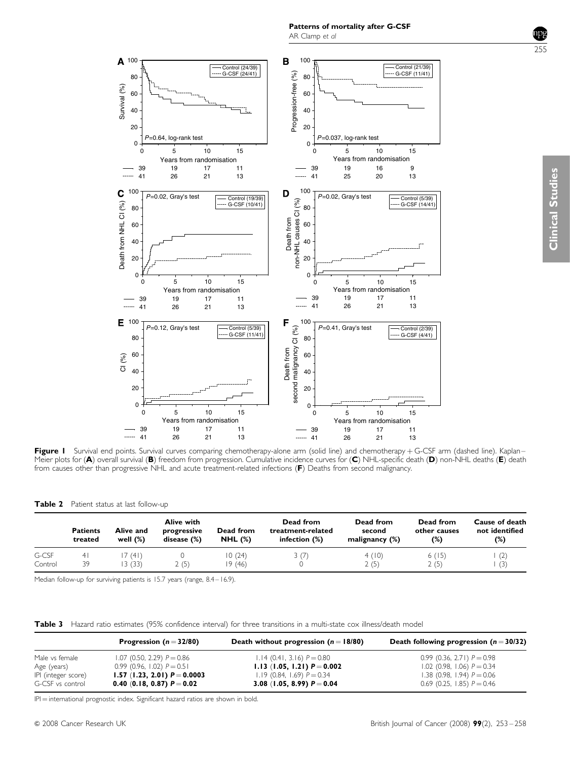

Clinical Studies

**Clinical Studies** 

 $255$ 

<span id="page-2-0"></span>

Figure I Survival end points. Survival curves comparing chemotherapy-alone arm (solid line) and chemotherapy + G-CSF arm (dashed line). Kaplan– Meier plots for (A) overall survival (B) freedom from progression. Cumulative incidence curves for (C) NHL-specific death (D) non-NHL deaths (E) death from causes other than progressive NHL and acute treatment-related infections (F) Deaths from second malignancy.

| Table 2 Patient status at last follow-up |  |
|------------------------------------------|--|
|------------------------------------------|--|

|         | <b>Patients</b><br>treated | Alive and<br>well $(\%)$ | Alive with<br>progressive<br>disease (%) | Dead from<br>NHL $(%)$ | Dead from<br>treatment-related<br>infection $(\%)$ | Dead from<br>second<br>malignancy (%) | Dead from<br>other causes<br>(%) | Cause of death<br>not identified<br>(%) |
|---------|----------------------------|--------------------------|------------------------------------------|------------------------|----------------------------------------------------|---------------------------------------|----------------------------------|-----------------------------------------|
| G-CSF   | 41                         | 7(41)                    |                                          | 10(24)                 | 3 (/                                               | 4(10)                                 | 6(15)                            | (2)                                     |
| Control | 39                         | 13(33)                   | 2(5)                                     | 19 (46)                |                                                    | 2(5)                                  | 2(5)                             | (3)                                     |

Median follow-up for surviving patients is 15.7 years (range, 8.4–16.9).

Table 3 Hazard ratio estimates (95% confidence interval) for three transitions in a multi-state cox illness/death model

|                     | Progression ( $n = 32/80$ )    | Death without progression $(n = 18/80)$ | Death following progression ( $n = 30/32$ ) |
|---------------------|--------------------------------|-----------------------------------------|---------------------------------------------|
| Male vs female      | $1.07$ (0.50, 2.29) $P = 0.86$ | $1.14$ (0.41, 3.16) $P = 0.80$          | $0.99(0.36, 2.71) P = 0.98$                 |
| Age (years)         | $0.99(0.96, 1.02) P = 0.51$    | 1.13 (1.05, 1.21) $P = 0.002$           | $1.02$ (0.98, 1.06) $P = 0.34$              |
| IPI (integer score) | 1.57 (1.23, 2.01) $P = 0.0003$ | $1.19(0.84, 1.69) P = 0.34$             | $1.38$ (0.98, 1.94) $P = 0.06$              |
| G-CSF vs control    | 0.40 (0.18, 0.87) $P = 0.02$   | 3.08 (1.05, 8.99) $P = 0.04$            | $0.69$ (0.25, 1.85) $P = 0.46$              |

IPI = international prognostic index. Significant hazard ratios are shown in bold.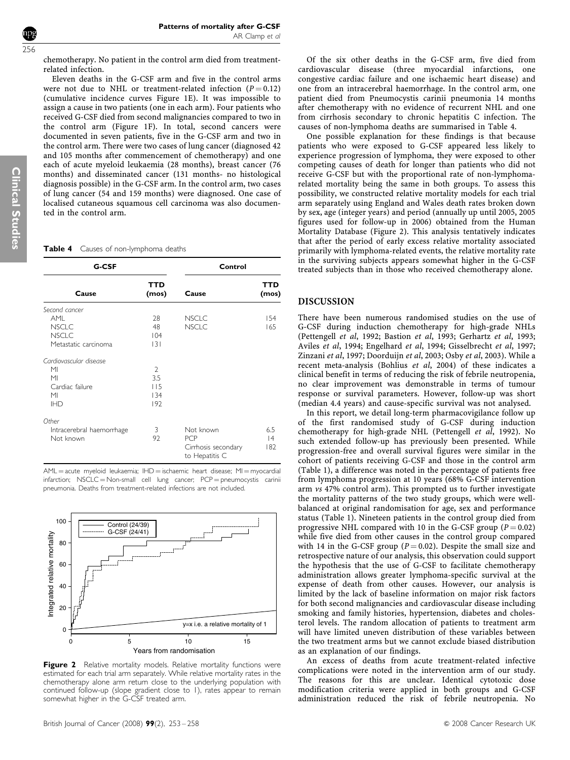chemotherapy. No patient in the control arm died from treatmentrelated infection.

Eleven deaths in the G-CSF arm and five in the control arms were not due to NHL or treatment-related infection  $(P = 0.12)$ (cumulative incidence curves [Figure 1E](#page-2-0)). It was impossible to assign a cause in two patients (one in each arm). Four patients who received G-CSF died from second malignancies compared to two in the control arm [\(Figure 1F](#page-2-0)). In total, second cancers were documented in seven patients, five in the G-CSF arm and two in the control arm. There were two cases of lung cancer (diagnosed 42 and 105 months after commencement of chemotherapy) and one each of acute myeloid leukaemia (28 months), breast cancer (76 months) and disseminated cancer (131 months- no histological diagnosis possible) in the G-CSF arm. In the control arm, two cases of lung cancer (54 and 159 months) were diagnosed. One case of localised cutaneous squamous cell carcinoma was also documented in the control arm.

Table 4 Causes of non-lymphoma deaths

| <b>G-CSF</b>              |                     | Control             |                     |
|---------------------------|---------------------|---------------------|---------------------|
| Cause                     | <b>TTD</b><br>(mos) | Cause               | <b>TTD</b><br>(mos) |
| Second cancer             |                     |                     |                     |
| AMI                       | 28                  | <b>NSCLC</b>        | 154                 |
| <b>NSCLC</b>              | 48                  | <b>NSCLC</b>        | 165                 |
| <b>NSCLC</b>              | 104                 |                     |                     |
| Metastatic carcinoma      | 3                   |                     |                     |
| Cardiovascular disease    |                     |                     |                     |
| MI                        | $\mathcal{P}$       |                     |                     |
| M <sub>l</sub>            | 3.5                 |                     |                     |
| Cardiac failure           | 115                 |                     |                     |
| MI                        | 134                 |                     |                     |
| <b>IHD</b>                | 192                 |                     |                     |
| Other                     |                     |                     |                     |
| Intracerebral haemorrhage | 3                   | Not known           | 6.5                 |
| Not known                 | 92                  | <b>PCP</b>          | 4                   |
|                           |                     | Cirrhosis secondary | 182                 |
|                           |                     | to Hepatitis C      |                     |

 $AML =$  acute myeloid leukaemia;  $IHD =$  ischaemic heart disease;  $M =$  myocardial  $infarction$ ;  $NSCLC = Non-small$  cell lung cancer;  $PCP = p$ neumocystis carinii pneumonia. Deaths from treatment-related infections are not included.



Figure 2 Relative mortality models. Relative mortality functions were estimated for each trial arm separately. While relative mortality rates in the chemotherapy alone arm return close to the underlying population with continued follow-up (slope gradient close to 1), rates appear to remain somewhat higher in the G-CSF treated arm.

Of the six other deaths in the G-CSF arm, five died from cardiovascular disease (three myocardial infarctions, one congestive cardiac failure and one ischaemic heart disease) and one from an intracerebral haemorrhage. In the control arm, one patient died from Pneumocystis carinii pneumonia 14 months after chemotherapy with no evidence of recurrent NHL and one from cirrhosis secondary to chronic hepatitis C infection. The causes of non-lymphoma deaths are summarised in Table 4.

One possible explanation for these findings is that because patients who were exposed to G-CSF appeared less likely to experience progression of lymphoma, they were exposed to other competing causes of death for longer than patients who did not receive G-CSF but with the proportional rate of non-lymphomarelated mortality being the same in both groups. To assess this possibility, we constructed relative mortality models for each trial arm separately using England and Wales death rates broken down by sex, age (integer years) and period (annually up until 2005, 2005 figures used for follow-up in 2006) obtained from the Human Mortality Database (Figure 2). This analysis tentatively indicates that after the period of early excess relative mortality associated primarily with lymphoma-related events, the relative mortality rate in the surviving subjects appears somewhat higher in the G-CSF treated subjects than in those who received chemotherapy alone.

## DISCUSSION

There have been numerous randomised studies on the use of G-CSF during induction chemotherapy for high-grade NHLs ([Pettengell](#page-5-0) et al, 1992; [Bastion](#page-4-0) et al, 1993; [Gerhartz](#page-4-0) et al, 1993; Aviles et al[, 1994; Engelhard](#page-4-0) et al, 1994; [Gisselbrecht](#page-5-0) et al, 1997; [Zinzani](#page-5-0) et al, 1997; [Doorduijn](#page-4-0) et al, 2003; Osby et al[, 2003\)](#page-5-0). While a recent meta-analysis ([Bohlius](#page-4-0) et al, 2004) of these indicates a clinical benefit in terms of reducing the risk of febrile neutropenia, no clear improvement was demonstrable in terms of tumour response or survival parameters. However, follow-up was short (median 4.4 years) and cause-specific survival was not analysed.

In this report, we detail long-term pharmacovigilance follow up of the first randomised study of G-CSF during induction chemotherapy for high-grade NHL [\(Pettengell](#page-5-0) et al, 1992). No such extended follow-up has previously been presented. While progression-free and overall survival figures were similar in the cohort of patients receiving G-CSF and those in the control arm ([Table 1](#page-1-0)), a difference was noted in the percentage of patients free from lymphoma progression at 10 years (68% G-CSF intervention arm vs 47% control arm). This prompted us to further investigate the mortality patterns of the two study groups, which were wellbalanced at original randomisation for age, sex and performance status [\(Table 1\)](#page-1-0). Nineteen patients in the control group died from progressive NHL compared with 10 in the G-CSF group ( $P = 0.02$ ) while five died from other causes in the control group compared with 14 in the G-CSF group ( $P = 0.02$ ). Despite the small size and retrospective nature of our analysis, this observation could support the hypothesis that the use of G-CSF to facilitate chemotherapy administration allows greater lymphoma-specific survival at the expense of death from other causes. However, our analysis is limited by the lack of baseline information on major risk factors for both second malignancies and cardiovascular disease including smoking and family histories, hypertension, diabetes and cholesterol levels. The random allocation of patients to treatment arm will have limited uneven distribution of these variables between the two treatment arms but we cannot exclude biased distribution as an explanation of our findings.

An excess of deaths from acute treatment-related infective complications were noted in the intervention arm of our study. The reasons for this are unclear. Identical cytotoxic dose modification criteria were applied in both groups and G-CSF administration reduced the risk of febrile neutropenia. No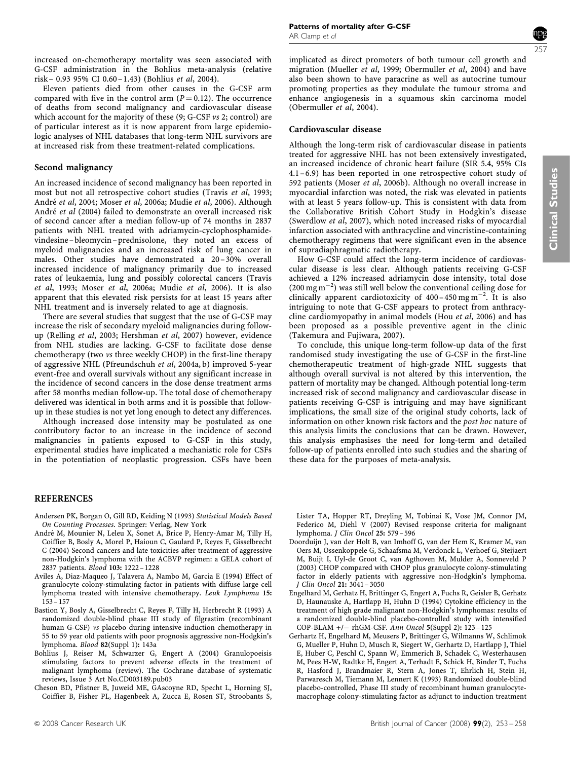<span id="page-4-0"></span>increased on-chemotherapy mortality was seen associated with G-CSF administration in the Bohlius meta-analysis (relative risk– 0.93 95% CI 0.60–1.43) (Bohlius et al, 2004).

Eleven patients died from other causes in the G-CSF arm compared with five in the control arm  $(P = 0.12)$ . The occurrence of deaths from second malignancy and cardiovascular disease which account for the majority of these (9; G-CSF vs 2; control) are of particular interest as it is now apparent from large epidemiologic analyses of NHL databases that long-term NHL survivors are at increased risk from these treatment-related complications.

#### Second malignancy

An increased incidence of second malignancy has been reported in most but not all retrospective cohort studies (Travis et al[, 1993;](#page-5-0) André et al, 2004; Moser et al[, 2006a](#page-5-0); [Mudie](#page-5-0) et al, 2006). Although André et al (2004) failed to demonstrate an overall increased risk of second cancer after a median follow-up of 74 months in 2837 patients with NHL treated with adriamycin-cyclophosphamidevindesine–bleomycin –prednisolone, they noted an excess of myeloid malignancies and an increased risk of lung cancer in males. Other studies have demonstrated a 20–30% overall increased incidence of malignancy primarily due to increased rates of leukaemia, lung and possibly colorectal cancers ([Travis](#page-5-0) et al[, 1993](#page-5-0); Moser et al[, 2006a;](#page-5-0) Mudie et al[, 2006\)](#page-5-0). It is also apparent that this elevated risk persists for at least 15 years after NHL treatment and is inversely related to age at diagnosis.

There are several studies that suggest that the use of G-CSF may increase the risk of secondary myeloid malignancies during followup [\(Relling](#page-5-0) et al, 2003; [Hershman](#page-5-0) et al, 2007) however, evidence from NHL studies are lacking. G-CSF to facilitate dose dense chemotherapy (two vs three weekly CHOP) in the first-line therapy of aggressive NHL [\(Pfreundschuh](#page-5-0) et al, 2004a, b) improved 5-year event-free and overall survivals without any significant increase in the incidence of second cancers in the dose dense treatment arms after 58 months median follow-up. The total dose of chemotherapy delivered was identical in both arms and it is possible that followup in these studies is not yet long enough to detect any differences.

Although increased dose intensity may be postulated as one contributory factor to an increase in the incidence of second malignancies in patients exposed to G-CSF in this study, experimental studies have implicated a mechanistic role for CSFs in the potentiation of neoplastic progression. CSFs have been



implicated as direct promoters of both tumour cell growth and migration [\(Mueller](#page-5-0) et al, 1999; [Obermuller](#page-5-0) et al, 2004) and have also been shown to have paracrine as well as autocrine tumour promoting properties as they modulate the tumour stroma and enhance angiogenesis in a squamous skin carcinoma model [\(Obermuller](#page-5-0) et al, 2004).

#### Cardiovascular disease

Although the long-term risk of cardiovascular disease in patients treated for aggressive NHL has not been extensively investigated, an increased incidence of chronic heart failure (SIR 5.4, 95% CIs 4.1–6.9) has been reported in one retrospective cohort study of 592 patients (Moser et al[, 2006b\)](#page-5-0). Although no overall increase in myocardial infarction was noted, the risk was elevated in patients with at least 5 years follow-up. This is consistent with data from the Collaborative British Cohort Study in Hodgkin's disease [\(Swerdlow](#page-5-0) et al, 2007), which noted increased risks of myocardial infarction associated with anthracycline and vincristine-containing chemotherapy regimens that were significant even in the absence of supradiaphragmatic radiotherapy.

How G-CSF could affect the long-term incidence of cardiovascular disease is less clear. Although patients receiving G-CSF achieved a 12% increased adriamycin dose intensity, total dose  $(200 \text{ mg m}^{-2})$  was still well below the conventional ceiling dose for clinically apparent cardiotoxicity of  $400 - 450$  mg m<sup>-2</sup>. It is also intriguing to note that G-CSF appears to protect from anthracycline cardiomyopathy in animal models (Hou et al[, 2006\)](#page-5-0) and has been proposed as a possible preventive agent in the clinic [\(Takemura and Fujiwara, 2007](#page-5-0)).

To conclude, this unique long-term follow-up data of the first randomised study investigating the use of G-CSF in the first-line chemotherapeutic treatment of high-grade NHL suggests that although overall survival is not altered by this intervention, the pattern of mortality may be changed. Although potential long-term increased risk of second malignancy and cardiovascular disease in patients receiving G-CSF is intriguing and may have significant implications, the small size of the original study cohorts, lack of information on other known risk factors and the post hoc nature of this analysis limits the conclusions that can be drawn. However, this analysis emphasises the need for long-term and detailed follow-up of patients enrolled into such studies and the sharing of these data for the purposes of meta-analysis.

### REFERENCES

- Andersen PK, Borgan O, Gill RD, Keiding N (1993) Statistical Models Based On Counting Processes. Springer: Verlag, New York
- André M, Mounier N, Leleu X, Sonet A, Brice P, Henry-Amar M, Tilly H, Coiffier B, Bosly A, Morel P, Haioun C, Gaulard P, Reyes F, Gisselbrecht C (2004) Second cancers and late toxicities after treatment of aggressive non-Hodgkin's lymphoma with the ACBVP regimen: a GELA cohort of 2837 patients. Blood 103: 1222 – 1228
- Aviles A, Diaz-Maqueo J, Talavera A, Nambo M, Garcia E (1994) Effect of granulocyte colony-stimulating factor in patients with diffuse large cell lymphoma treated with intensive chemotherapy. Leuk Lymphoma 15: 153 – 157
- Bastion Y, Bosly A, Gisselbrecht C, Reyes F, Tilly H, Herbrecht R (1993) A randomized double-blind phase III study of filgrastim (recombinant human G-CSF) vs placebo during intensive induction chemotherapy in 55 to 59 year old patients with poor prognosis aggressive non-Hodgkin's lymphoma. Blood 82(Suppl 1): 143a
- Bohlius J, Reiser M, Schwarzer G, Engert A (2004) Granulopoeisis stimulating factors to prevent adverse effects in the treatment of malignant lymphoma (review). The Cochrane database of systematic reviews, Issue 3 Art No.CD003189.pub03
- Cheson BD, Pfistner B, Juweid ME, GAscoyne RD, Specht L, Horning SJ, Coiffier B, Fisher PL, Hagenbeek A, Zucca E, Rosen ST, Stroobants S,

Lister TA, Hopper RT, Dreyling M, Tobinai K, Vose JM, Connor JM, Federico M, Diehl V (2007) Revised response criteria for malignant lymphoma. J Clin Oncol 25: 579 – 596

- Doorduijn J, van der Holt B, van Imhoff G, van der Hem K, Kramer M, van Oers M, Ossenkoppele G, Schaafsma M, Verdonck L, Verhoef G, Steijaert M, Buijt I, Uyl-de Groot C, van Agthoven M, Mulder A, Sonneveld P (2003) CHOP compared with CHOP plus granulocyte colony-stimulating factor in elderly patients with aggressive non-Hodgkin's lymphoma. J Clin Oncol 21: 3041 – 3050
- Engelhard M, Gerhatz H, Brittinger G, Engert A, Fuchs R, Geisler B, Gerhatz D, Haunauske A, Hartlapp H, Huhn D (1994) Cytokine efficiency in the treatment of high grade malignant non-Hodgkin's lymphomas: results of a randomized double-blind placebo-controlled study with intensified COP-BLAM +/- rhGM-CSF. Ann Oncol 5(Suppl 2): 123-125
- Gerhartz H, Engelhard M, Meusers P, Brittinger G, Wilmanns W, Schlimok G, Mueller P, Huhn D, Musch R, Siegert W, Gerhartz D, Hartlapp J, Thiel E, Huber C, Peschl C, Spann W, Emmerich B, Schadek C, Westerhausen M, Pees H-W, Radtke H, Engert A, Terhadt E, Schick H, Binder T, Fuchs R, Hasford J, Brandmaier R, Stern A, Jones T, Ehrlich H, Stein H, Parwaresch M, Tiemann M, Lennert K (1993) Randomized double-blind placebo-controlled, Phase III study of recombinant human granulocytemacrophage colony-stimulating factor as adjunct to induction treatment